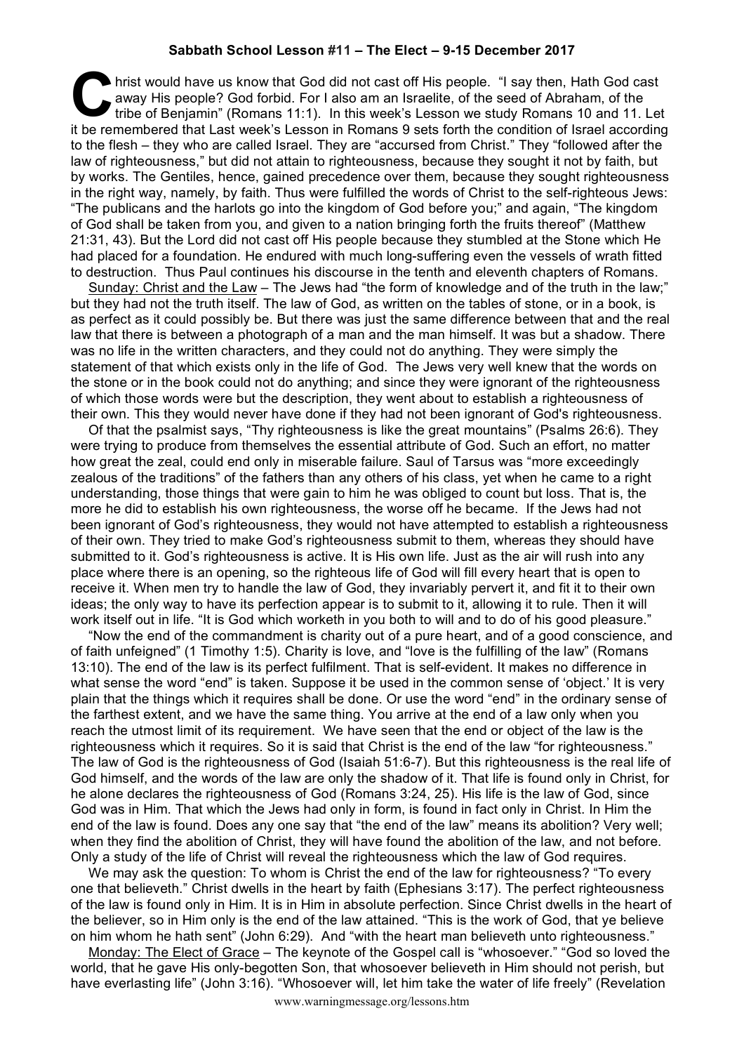## **Sabbath School Lesson #11 – The Elect – 9-15 December 2017**

hrist would have us know that God did not cast off His people. "I say then, Hath God cast away His people? God forbid. For I also am an Israelite, of the seed of Abraham, of the tribe of Benjamin" (Romans 11:1). In this we away His people? God forbid. For I also am an Israelite, of the seed of Abraham, of the tribe of Benjamin" (Romans 11:1). In this week's Lesson we study Romans 10 and 11. Let it be remembered that Last week's Lesson in Romans 9 sets forth the condition of Israel according to the flesh – they who are called Israel. They are "accursed from Christ." They "followed after the law of righteousness," but did not attain to righteousness, because they sought it not by faith, but by works. The Gentiles, hence, gained precedence over them, because they sought righteousness in the right way, namely, by faith. Thus were fulfilled the words of Christ to the self-righteous Jews: "The publicans and the harlots go into the kingdom of God before you;" and again, "The kingdom of God shall be taken from you, and given to a nation bringing forth the fruits thereof" (Matthew 21:31, 43). But the Lord did not cast off His people because they stumbled at the Stone which He had placed for a foundation. He endured with much long-suffering even the vessels of wrath fitted to destruction. Thus Paul continues his discourse in the tenth and eleventh chapters of Romans.

Sunday: Christ and the Law - The Jews had "the form of knowledge and of the truth in the law:" but they had not the truth itself. The law of God, as written on the tables of stone, or in a book, is as perfect as it could possibly be. But there was just the same difference between that and the real law that there is between a photograph of a man and the man himself. It was but a shadow. There was no life in the written characters, and they could not do anything. They were simply the statement of that which exists only in the life of God. The Jews very well knew that the words on the stone or in the book could not do anything; and since they were ignorant of the righteousness of which those words were but the description, they went about to establish a righteousness of their own. This they would never have done if they had not been ignorant of God's righteousness.

Of that the psalmist says, "Thy righteousness is like the great mountains" (Psalms 26:6). They were trying to produce from themselves the essential attribute of God. Such an effort, no matter how great the zeal, could end only in miserable failure. Saul of Tarsus was "more exceedingly zealous of the traditions" of the fathers than any others of his class, yet when he came to a right understanding, those things that were gain to him he was obliged to count but loss. That is, the more he did to establish his own righteousness, the worse off he became. If the Jews had not been ignorant of God's righteousness, they would not have attempted to establish a righteousness of their own. They tried to make God's righteousness submit to them, whereas they should have submitted to it. God's righteousness is active. It is His own life. Just as the air will rush into any place where there is an opening, so the righteous life of God will fill every heart that is open to receive it. When men try to handle the law of God, they invariably pervert it, and fit it to their own ideas; the only way to have its perfection appear is to submit to it, allowing it to rule. Then it will work itself out in life. "It is God which worketh in you both to will and to do of his good pleasure."

"Now the end of the commandment is charity out of a pure heart, and of a good conscience, and of faith unfeigned" (1 Timothy 1:5). Charity is love, and "love is the fulfilling of the law" (Romans 13:10). The end of the law is its perfect fulfilment. That is self-evident. It makes no difference in what sense the word "end" is taken. Suppose it be used in the common sense of 'object.' It is very plain that the things which it requires shall be done. Or use the word "end" in the ordinary sense of the farthest extent, and we have the same thing. You arrive at the end of a law only when you reach the utmost limit of its requirement. We have seen that the end or object of the law is the righteousness which it requires. So it is said that Christ is the end of the law "for righteousness." The law of God is the righteousness of God (Isaiah 51:6-7). But this righteousness is the real life of God himself, and the words of the law are only the shadow of it. That life is found only in Christ, for he alone declares the righteousness of God (Romans 3:24, 25). His life is the law of God, since God was in Him. That which the Jews had only in form, is found in fact only in Christ. In Him the end of the law is found. Does any one say that "the end of the law" means its abolition? Very well; when they find the abolition of Christ, they will have found the abolition of the law, and not before. Only a study of the life of Christ will reveal the righteousness which the law of God requires.

We may ask the question: To whom is Christ the end of the law for righteousness? "To every one that believeth." Christ dwells in the heart by faith (Ephesians 3:17). The perfect righteousness of the law is found only in Him. It is in Him in absolute perfection. Since Christ dwells in the heart of the believer, so in Him only is the end of the law attained. "This is the work of God, that ye believe on him whom he hath sent" (John 6:29). And "with the heart man believeth unto righteousness."

Monday: The Elect of Grace – The keynote of the Gospel call is "whosoever." "God so loved the world, that he gave His only-begotten Son, that whosoever believeth in Him should not perish, but have everlasting life" (John 3:16). "Whosoever will, let him take the water of life freely" (Revelation